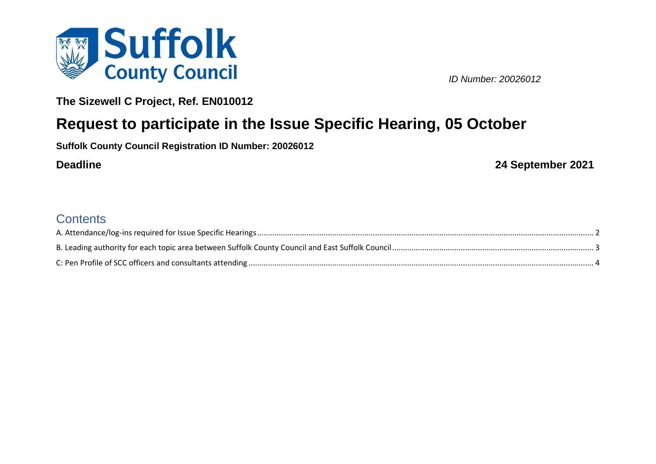

*ID Number: 20026012*

**The Sizewell C Project, Ref. EN010012**

# **Request to participate in the Issue Specific Hearing, 05 October**

**Suffolk County Council Registration ID Number: 20026012**

**Deadline 24 September 2021**

## **Contents**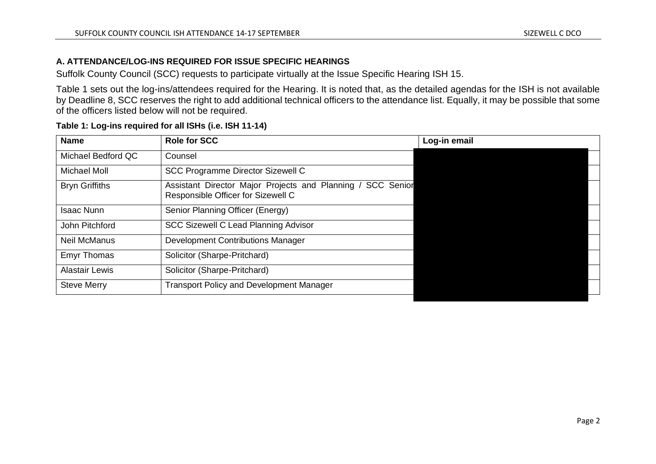#### **A. ATTENDANCE/LOG-INS REQUIRED FOR ISSUE SPECIFIC HEARINGS**

Suffolk County Council (SCC) requests to participate virtually at the Issue Specific Hearing ISH 15.

Table 1 sets out the log-ins/attendees required for the Hearing. It is noted that, as the detailed agendas for the ISH is not available by Deadline 8, SCC reserves the right to add additional technical officers to the attendance list. Equally, it may be possible that some of the officers listed below will not be required.

| <b>Role for SCC</b>                                                                               | Log-in email |  |  |  |
|---------------------------------------------------------------------------------------------------|--------------|--|--|--|
| Counsel                                                                                           |              |  |  |  |
| <b>SCC Programme Director Sizewell C</b>                                                          |              |  |  |  |
| Assistant Director Major Projects and Planning / SCC Senior<br>Responsible Officer for Sizewell C |              |  |  |  |
| Senior Planning Officer (Energy)                                                                  |              |  |  |  |
| <b>SCC Sizewell C Lead Planning Advisor</b>                                                       |              |  |  |  |
| <b>Development Contributions Manager</b>                                                          |              |  |  |  |
| Solicitor (Sharpe-Pritchard)                                                                      |              |  |  |  |
| Solicitor (Sharpe-Pritchard)                                                                      |              |  |  |  |
| <b>Transport Policy and Development Manager</b>                                                   |              |  |  |  |
|                                                                                                   |              |  |  |  |

#### **Table 1: Log-ins required for all ISHs (i.e. ISH 11-14)**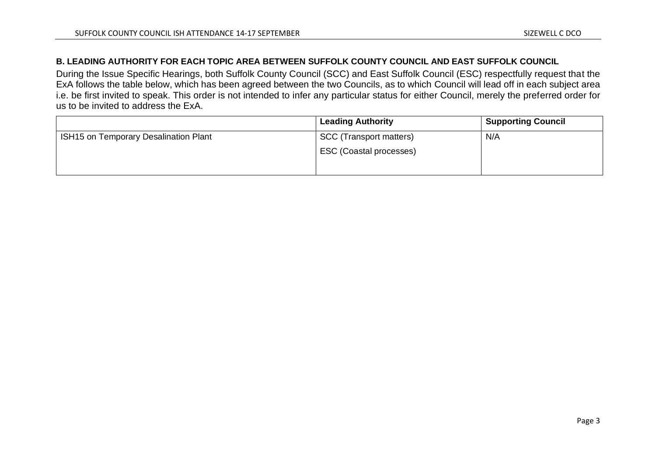#### **B. LEADING AUTHORITY FOR EACH TOPIC AREA BETWEEN SUFFOLK COUNTY COUNCIL AND EAST SUFFOLK COUNCIL**

During the Issue Specific Hearings, both Suffolk County Council (SCC) and East Suffolk Council (ESC) respectfully request that the ExA follows the table below, which has been agreed between the two Councils, as to which Council will lead off in each subject area i.e. be first invited to speak. This order is not intended to infer any particular status for either Council, merely the preferred order for us to be invited to address the ExA.

|                                       | <b>Leading Authority</b>       | <b>Supporting Council</b> |
|---------------------------------------|--------------------------------|---------------------------|
| ISH15 on Temporary Desalination Plant | <b>SCC</b> (Transport matters) | N/A                       |
|                                       | ESC (Coastal processes)        |                           |
|                                       |                                |                           |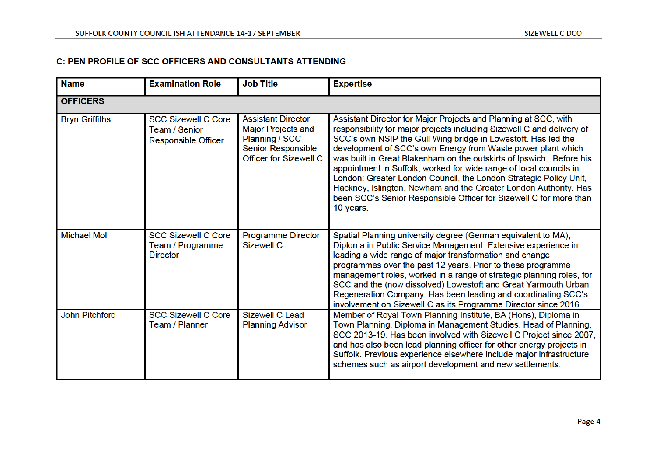### C: PEN PROFILE OF SCC OFFICERS AND CONSULTANTS ATTENDING

| <b>Name</b>           | <b>Examination Role</b>                                            | <b>Job Title</b>                                                                                                                | <b>Expertise</b>                                                                                                                                                                                                                                                                                                                                                                                                                                                                                                                                                                                                                                     |  |  |
|-----------------------|--------------------------------------------------------------------|---------------------------------------------------------------------------------------------------------------------------------|------------------------------------------------------------------------------------------------------------------------------------------------------------------------------------------------------------------------------------------------------------------------------------------------------------------------------------------------------------------------------------------------------------------------------------------------------------------------------------------------------------------------------------------------------------------------------------------------------------------------------------------------------|--|--|
| <b>OFFICERS</b>       |                                                                    |                                                                                                                                 |                                                                                                                                                                                                                                                                                                                                                                                                                                                                                                                                                                                                                                                      |  |  |
| <b>Bryn Griffiths</b> | <b>SCC Sizewell C Core</b><br>Team / Senior<br>Responsible Officer | <b>Assistant Director</b><br><b>Major Projects and</b><br>Planning / SCC<br>Senior Responsible<br><b>Officer for Sizewell C</b> | Assistant Director for Major Projects and Planning at SCC, with<br>responsibility for major projects including Sizewell C and delivery of<br>SCC's own NSIP the Gull Wing bridge in Lowestoft. Has led the<br>development of SCC's own Energy from Waste power plant which<br>was built in Great Blakenham on the outskirts of Ipswich. Before his<br>appointment in Suffolk, worked for wide range of local councils in<br>London: Greater London Council, the London Strategic Policy Unit,<br>Hackney, Islington, Newham and the Greater London Authority. Has<br>been SCC's Senior Responsible Officer for Sizewell C for more than<br>10 years. |  |  |
| <b>Michael Moll</b>   | <b>SCC Sizewell C Core</b><br>Team / Programme<br><b>Director</b>  | <b>Programme Director</b><br>Sizewell C                                                                                         | Spatial Planning university degree (German equivalent to MA),<br>Diploma in Public Service Management. Extensive experience in<br>leading a wide range of major transformation and change<br>programmes over the past 12 years. Prior to these programme<br>management roles, worked in a range of strategic planning roles, for<br>SCC and the (now dissolved) Lowestoft and Great Yarmouth Urban<br>Regeneration Company. Has been leading and coordinating SCC's<br>involvement on Sizewell C as its Programme Director since 2016.                                                                                                               |  |  |
| <b>John Pitchford</b> | <b>SCC Sizewell C Core</b><br>Team / Planner                       | Sizewell C Lead<br><b>Planning Advisor</b>                                                                                      | Member of Royal Town Planning Institute, BA (Hons), Diploma in<br>Town Planning, Diploma in Management Studies. Head of Planning,<br>SCC 2013-19. Has been involved with Sizewell C Project since 2007,<br>and has also been lead planning officer for other energy projects in<br>Suffolk. Previous experience elsewhere include major infrastructure<br>schemes such as airport development and new settlements.                                                                                                                                                                                                                                   |  |  |